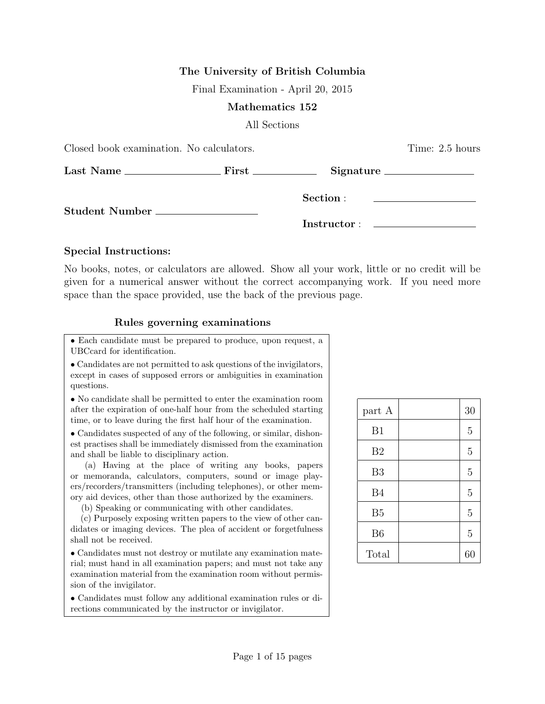## The University of British Columbia

Final Examination - April 20, 2015

### Mathematics 152

All Sections

| Closed book examination. No calculators. | Time: 2.5 hours |                                                                            |  |
|------------------------------------------|-----------------|----------------------------------------------------------------------------|--|
|                                          |                 |                                                                            |  |
| Student Number __________________        | Section :       | the control of the control of the control of the control of the control of |  |
|                                          |                 |                                                                            |  |

### Special Instructions:

No books, notes, or calculators are allowed. Show all your work, little or no credit will be given for a numerical answer without the correct accompanying work. If you need more space than the space provided, use the back of the previous page.

## Rules governing examinations

• Each candidate must be prepared to produce, upon request, a UBCcard for identification.

• Candidates are not permitted to ask questions of the invigilators, except in cases of supposed errors or ambiguities in examination questions.

• No candidate shall be permitted to enter the examination room after the expiration of one-half hour from the scheduled starting time, or to leave during the first half hour of the examination.

• Candidates suspected of any of the following, or similar, dishonest practises shall be immediately dismissed from the examination and shall be liable to disciplinary action.

(a) Having at the place of writing any books, papers or memoranda, calculators, computers, sound or image players/recorders/transmitters (including telephones), or other memory aid devices, other than those authorized by the examiners.

(b) Speaking or communicating with other candidates.

(c) Purposely exposing written papers to the view of other candidates or imaging devices. The plea of accident or forgetfulness shall not be received.

• Candidates must not destroy or mutilate any examination material; must hand in all examination papers; and must not take any examination material from the examination room without permission of the invigilator.

• Candidates must follow any additional examination rules or directions communicated by the instructor or invigilator.

| part A         | 30             |
|----------------|----------------|
| B1             | 5              |
| B <sub>2</sub> | $\overline{5}$ |
| B <sub>3</sub> | $\overline{5}$ |
| <b>B4</b>      | $\overline{5}$ |
| B <sub>5</sub> | $\overline{5}$ |
| B <sub>6</sub> | $\overline{5}$ |
| Total          | 60             |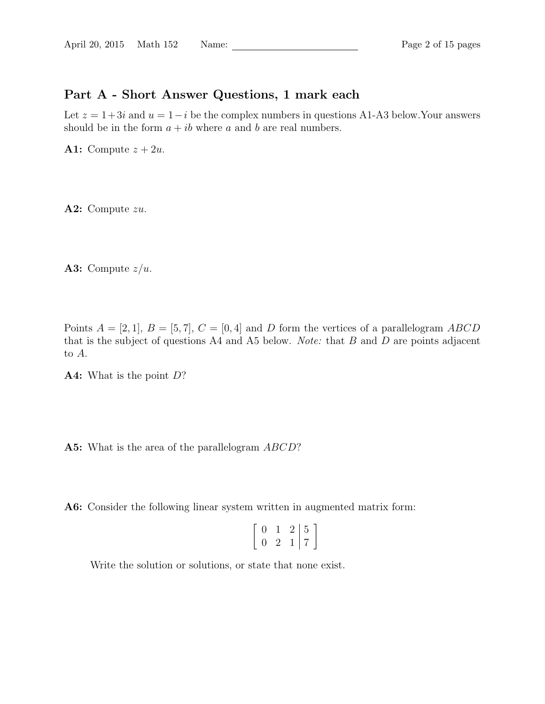## Part A - Short Answer Questions, 1 mark each

Let  $z = 1+3i$  and  $u = 1-i$  be the complex numbers in questions A1-A3 below. Your answers should be in the form  $a + ib$  where a and b are real numbers.

A1: Compute  $z + 2u$ .

A2: Compute zu.

A3: Compute  $z/u$ .

Points  $A = [2, 1], B = [5, 7], C = [0, 4]$  and D form the vertices of a parallelogram ABCD that is the subject of questions A4 and A5 below. *Note:* that  $B$  and  $D$  are points adjacent to A.

A4: What is the point D?

A5: What is the area of the parallelogram ABCD?

A6: Consider the following linear system written in augmented matrix form:

| 0 | $\cdot$ | $\vert 5$ |
|---|---------|-----------|
| 0 |         | ⇁         |

Write the solution or solutions, or state that none exist.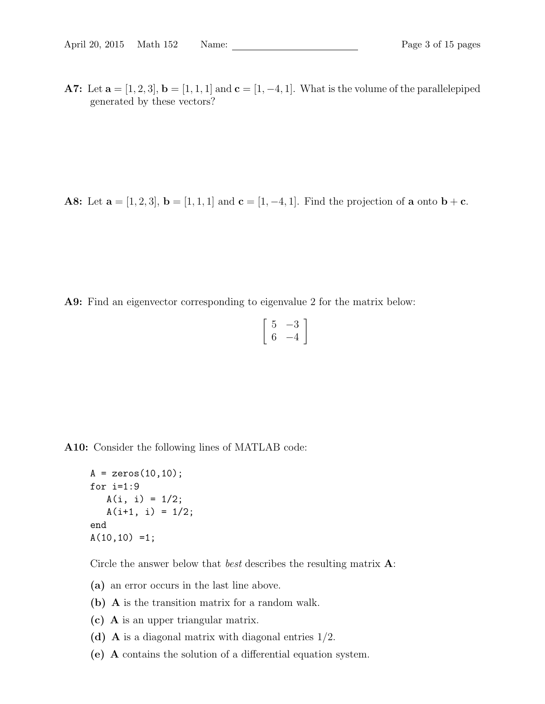A7: Let  $\mathbf{a} = [1, 2, 3], \mathbf{b} = [1, 1, 1]$  and  $\mathbf{c} = [1, -4, 1].$  What is the volume of the parallelepiped generated by these vectors?

**A8:** Let  $\mathbf{a} = [1, 2, 3], \mathbf{b} = [1, 1, 1]$  and  $\mathbf{c} = [1, -4, 1].$  Find the projection of  $\mathbf{a}$  onto  $\mathbf{b} + \mathbf{c}$ .

A9: Find an eigenvector corresponding to eigenvalue 2 for the matrix below:

$$
\left[\begin{array}{cc}5 & -3\\6 & -4\end{array}\right]
$$

A10: Consider the following lines of MATLAB code:

```
A = zeros(10, 10);for i=1:9
   A(i, i) = 1/2;A(i+1, i) = 1/2;end
A(10,10) = 1;
```
Circle the answer below that *best* describes the resulting matrix **A**:

- (a) an error occurs in the last line above.
- (b) A is the transition matrix for a random walk.
- (c) A is an upper triangular matrix.
- (d) A is a diagonal matrix with diagonal entries  $1/2$ .
- (e) A contains the solution of a differential equation system.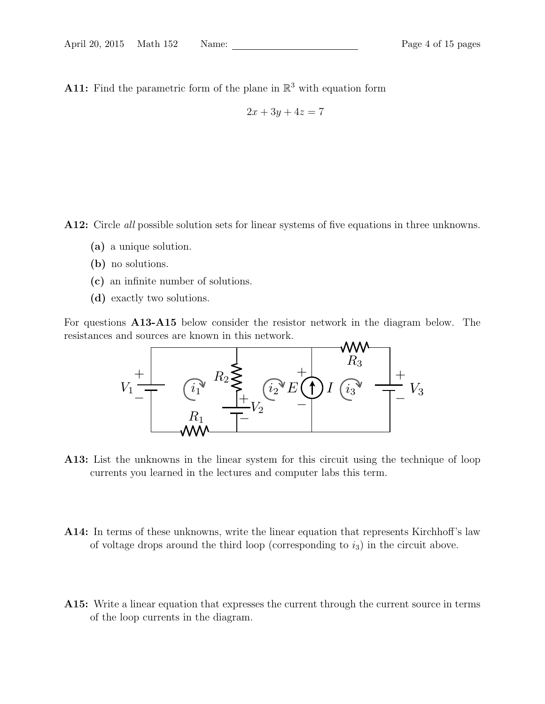A11: Find the parametric form of the plane in  $\mathbb{R}^3$  with equation form

$$
2x + 3y + 4z = 7
$$

A12: Circle *all* possible solution sets for linear systems of five equations in three unknowns.

- (a) a unique solution.
- (b) no solutions.
- (c) an infinite number of solutions.
- (d) exactly two solutions.

For questions A13-A15 below consider the resistor network in the diagram below. The resistances and sources are known in this network.



A13: List the unknowns in the linear system for this circuit using the technique of loop currents you learned in the lectures and computer labs this term.

- A14: In terms of these unknowns, write the linear equation that represents Kirchhoff's law of voltage drops around the third loop (corresponding to  $i_3$ ) in the circuit above.
- A15: Write a linear equation that expresses the current through the current source in terms of the loop currents in the diagram.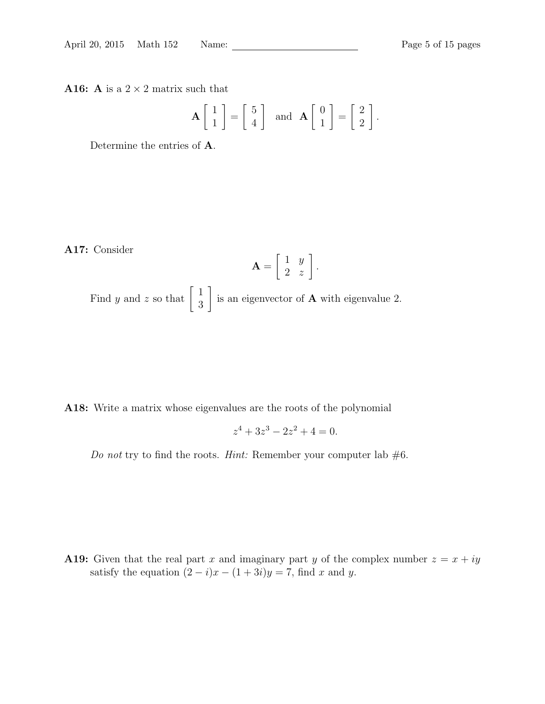A16: A is a  $2 \times 2$  matrix such that

$$
\mathbf{A} \begin{bmatrix} 1 \\ 1 \end{bmatrix} = \begin{bmatrix} 5 \\ 4 \end{bmatrix} \text{ and } \mathbf{A} \begin{bmatrix} 0 \\ 1 \end{bmatrix} = \begin{bmatrix} 2 \\ 2 \end{bmatrix}.
$$

Determine the entries of A.

A17: Consider

$$
\mathbf{A} = \left[ \begin{array}{cc} 1 & y \\ 2 & z \end{array} \right].
$$

Find y and z so that  $\begin{bmatrix} 1 \\ 2 \end{bmatrix}$ 3 1 is an eigenvector of  $A$  with eigenvalue 2.

A18: Write a matrix whose eigenvalues are the roots of the polynomial

$$
z^4 + 3z^3 - 2z^2 + 4 = 0.
$$

Do not try to find the roots. Hint: Remember your computer lab  $#6$ .

A19: Given that the real part x and imaginary part y of the complex number  $z = x + iy$ satisfy the equation  $(2 - i)x - (1 + 3i)y = 7$ , find x and y.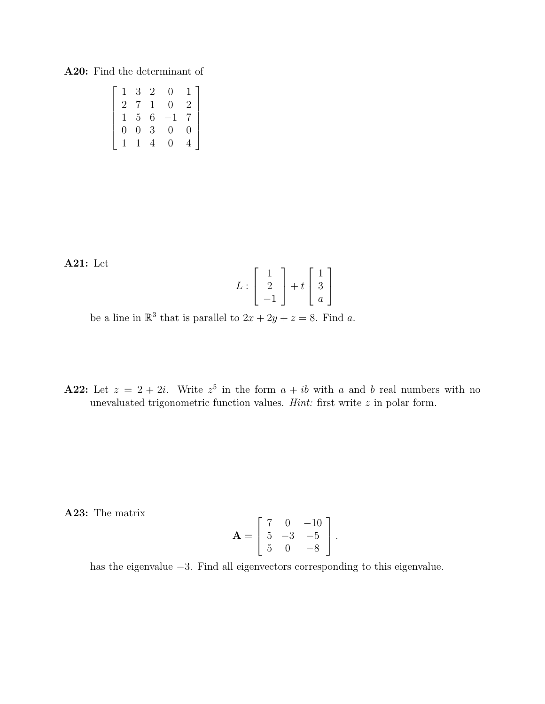### A20: Find the determinant of

| $\mathbf{1}$   | 3              | -2 | 0                | 1.             |
|----------------|----------------|----|------------------|----------------|
| 2              | 7              | 1  | $\left( \right)$ | $\overline{2}$ |
| $\mathbf{1}$   | 5 <sup>5</sup> | 6  |                  | 7              |
| $\overline{0}$ | $\overline{0}$ | 3  | $\left( \right)$ | 0              |
|                |                |    | $\mathbf{0}$     |                |

A21: Let

$$
L:\left[\begin{array}{c}1\\2\\-1\end{array}\right]+t\left[\begin{array}{c}1\\3\\a\end{array}\right]
$$

be a line in  $\mathbb{R}^3$  that is parallel to  $2x + 2y + z = 8$ . Find a.

**A22:** Let  $z = 2 + 2i$ . Write  $z^5$  in the form  $a + ib$  with a and b real numbers with no unevaluated trigonometric function values. *Hint*: first write  $z$  in polar form.

A23: The matrix

$$
\mathbf{A} = \begin{bmatrix} 7 & 0 & -10 \\ 5 & -3 & -5 \\ 5 & 0 & -8 \end{bmatrix}.
$$

has the eigenvalue −3. Find all eigenvectors corresponding to this eigenvalue.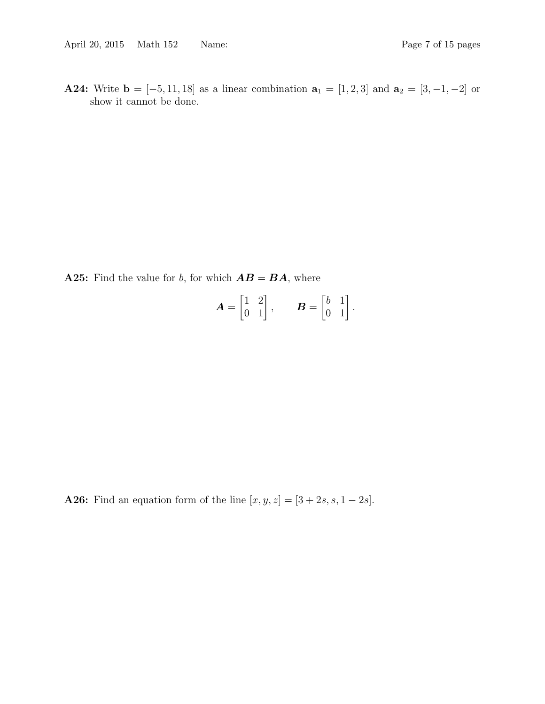A24: Write  $\mathbf{b} = [-5, 11, 18]$  as a linear combination  $\mathbf{a}_1 = [1, 2, 3]$  and  $\mathbf{a}_2 = [3, -1, -2]$  or show it cannot be done.

A25: Find the value for b, for which  $AB = BA$ , where

$$
\boldsymbol{A} = \begin{bmatrix} 1 & 2 \\ 0 & 1 \end{bmatrix}, \qquad \boldsymbol{B} = \begin{bmatrix} b & 1 \\ 0 & 1 \end{bmatrix}.
$$

**A26:** Find an equation form of the line  $[x, y, z] = [3 + 2s, s, 1 - 2s]$ .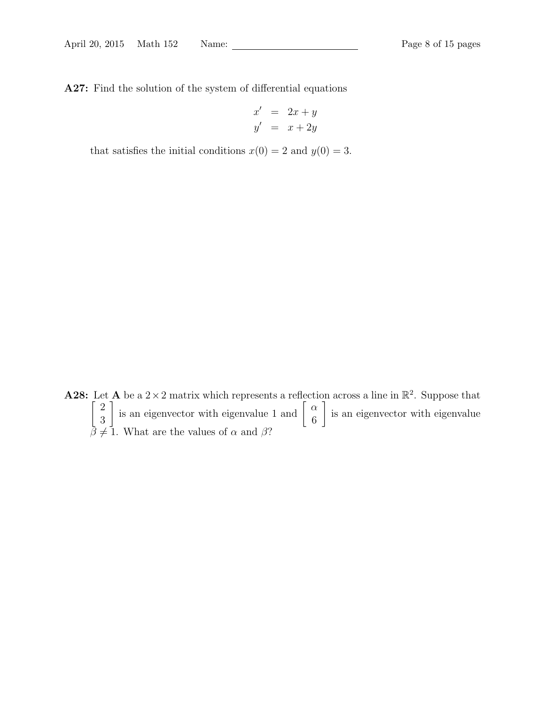A27: Find the solution of the system of differential equations

$$
x' = 2x + y
$$
  

$$
y' = x + 2y
$$

that satisfies the initial conditions  $x(0) = 2$  and  $y(0) = 3$ .

**A28:** Let **A** be a  $2 \times 2$  matrix which represents a reflection across a line in  $\mathbb{R}^2$ . Suppose that  $\lceil 2$ 3 is an eigenvector with eigenvalue 1 and  $\begin{bmatrix} \alpha \\ \beta \end{bmatrix}$ 6 1 is an eigenvector with eigenvalue  $\beta \neq 1$ . What are the values of  $\alpha$  and  $\beta$ ?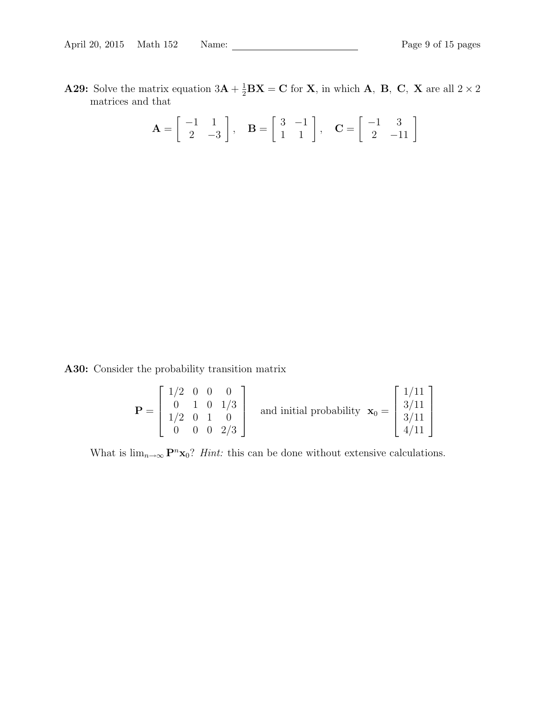**A29:** Solve the matrix equation  $3\mathbf{A} + \frac{1}{2}\mathbf{B}\mathbf{X} = \mathbf{C}$  for **X**, in which **A**, **B**, **C**, **X** are all  $2 \times 2$ matrices and that

$$
\mathbf{A} = \begin{bmatrix} -1 & 1 \\ 2 & -3 \end{bmatrix}, \quad \mathbf{B} = \begin{bmatrix} 3 & -1 \\ 1 & 1 \end{bmatrix}, \quad \mathbf{C} = \begin{bmatrix} -1 & 3 \\ 2 & -11 \end{bmatrix}
$$

A30: Consider the probability transition matrix

$$
\mathbf{P} = \begin{bmatrix} 1/2 & 0 & 0 & 0 \\ 0 & 1 & 0 & 1/3 \\ 1/2 & 0 & 1 & 0 \\ 0 & 0 & 0 & 2/3 \end{bmatrix}
$$
 and initial probability  $\mathbf{x}_0 = \begin{bmatrix} 1/11 \\ 3/11 \\ 3/11 \\ 4/11 \end{bmatrix}$ 

What is  $\lim_{n\to\infty} \mathbf{P}^n \mathbf{x}_0$ ? *Hint*: this can be done without extensive calculations.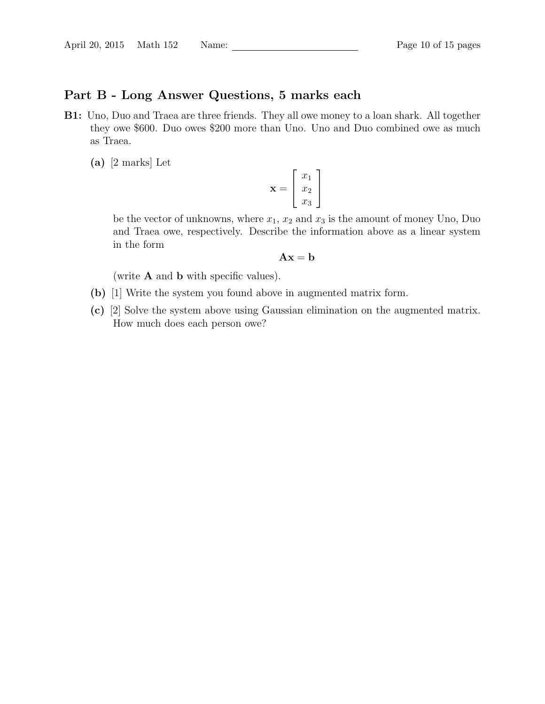# Part B - Long Answer Questions, 5 marks each

- B1: Uno, Duo and Traea are three friends. They all owe money to a loan shark. All together they owe \$600. Duo owes \$200 more than Uno. Uno and Duo combined owe as much as Traea.
	- (a) [2 marks] Let

$$
\mathbf{x} = \begin{bmatrix} x_1 \\ x_2 \\ x_3 \end{bmatrix}
$$

be the vector of unknowns, where  $x_1, x_2$  and  $x_3$  is the amount of money Uno, Duo and Traea owe, respectively. Describe the information above as a linear system in the form

$$
\mathbf{A}\mathbf{x} = \mathbf{b}
$$

(write  $A$  and  $b$  with specific values).

- (b) [1] Write the system you found above in augmented matrix form.
- (c) [2] Solve the system above using Gaussian elimination on the augmented matrix. How much does each person owe?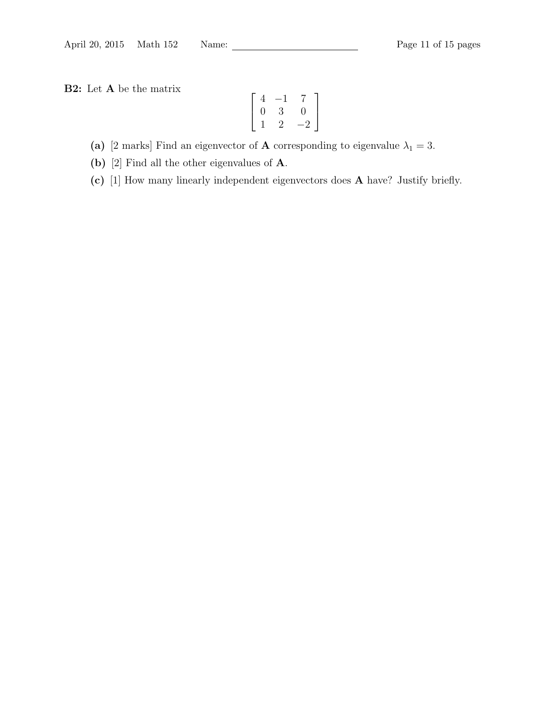B2: Let A be the matrix

$$
\left[\begin{array}{ccc} 4 & -1 & 7 \\ 0 & 3 & 0 \\ 1 & 2 & -2 \end{array}\right]
$$

(a) [2 marks] Find an eigenvector of **A** corresponding to eigenvalue  $\lambda_1 = 3$ .

(b) [2] Find all the other eigenvalues of **A**.

(c) [1] How many linearly independent eigenvectors does A have? Justify briefly.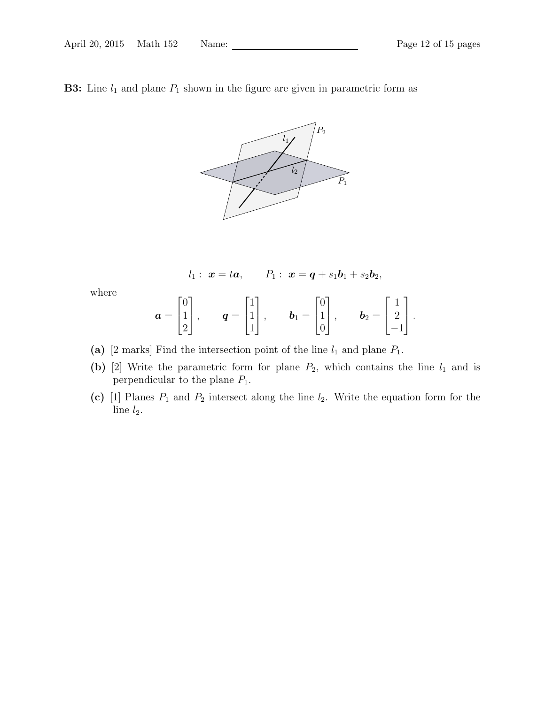**B3:** Line  $l_1$  and plane  $P_1$  shown in the figure are given in parametric form as



$$
l_1: \mathbf{x} = t\mathbf{a},
$$
  $P_1: \mathbf{x} = \mathbf{q} + s_1\mathbf{b}_1 + s_2\mathbf{b}_2,$ 

where

$$
\boldsymbol{a} = \begin{bmatrix} 0 \\ 1 \\ 2 \end{bmatrix}, \quad \boldsymbol{q} = \begin{bmatrix} 1 \\ 1 \\ 1 \end{bmatrix}, \quad \boldsymbol{b}_1 = \begin{bmatrix} 0 \\ 1 \\ 0 \end{bmatrix}, \quad \boldsymbol{b}_2 = \begin{bmatrix} 1 \\ 2 \\ -1 \end{bmatrix}.
$$

- (a) [2 marks] Find the intersection point of the line  $l_1$  and plane  $P_1$ .
- (b) [2] Write the parametric form for plane  $P_2$ , which contains the line  $l_1$  and is perpendicular to the plane  $P_1$ .
- (c) [1] Planes  $P_1$  and  $P_2$  intersect along the line  $l_2$ . Write the equation form for the line  $l_2$ .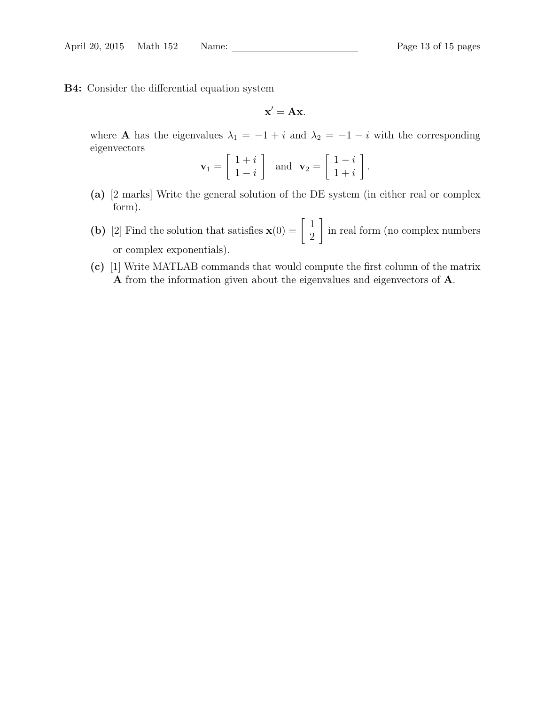B4: Consider the differential equation system

 $\mathbf{x}' = \mathbf{A}\mathbf{x}$ .

where **A** has the eigenvalues  $\lambda_1 = -1 + i$  and  $\lambda_2 = -1 - i$  with the corresponding eigenvectors

$$
\mathbf{v}_1 = \left[ \begin{array}{c} 1+i \\ 1-i \end{array} \right] \text{ and } \mathbf{v}_2 = \left[ \begin{array}{c} 1-i \\ 1+i \end{array} \right].
$$

- (a) [2 marks] Write the general solution of the DE system (in either real or complex form).
- (b) [2] Find the solution that satisfies  $\mathbf{x}(0) = \begin{bmatrix} 1 \\ 2 \end{bmatrix}$ 2 1 in real form (no complex numbers or complex exponentials).
- (c) [1] Write MATLAB commands that would compute the first column of the matrix A from the information given about the eigenvalues and eigenvectors of A.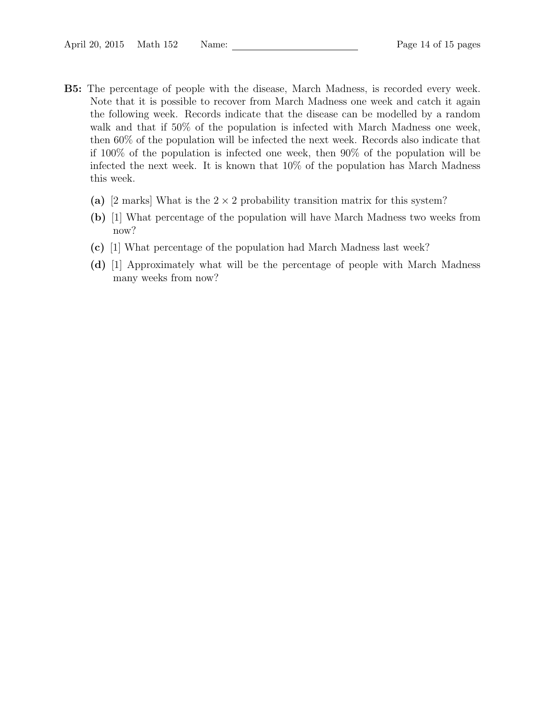- B5: The percentage of people with the disease, March Madness, is recorded every week. Note that it is possible to recover from March Madness one week and catch it again the following week. Records indicate that the disease can be modelled by a random walk and that if 50% of the population is infected with March Madness one week, then 60% of the population will be infected the next week. Records also indicate that if 100% of the population is infected one week, then 90% of the population will be infected the next week. It is known that 10% of the population has March Madness this week.
	- (a) [2 marks] What is the  $2 \times 2$  probability transition matrix for this system?
	- (b) [1] What percentage of the population will have March Madness two weeks from now?
	- (c) [1] What percentage of the population had March Madness last week?
	- (d) [1] Approximately what will be the percentage of people with March Madness many weeks from now?